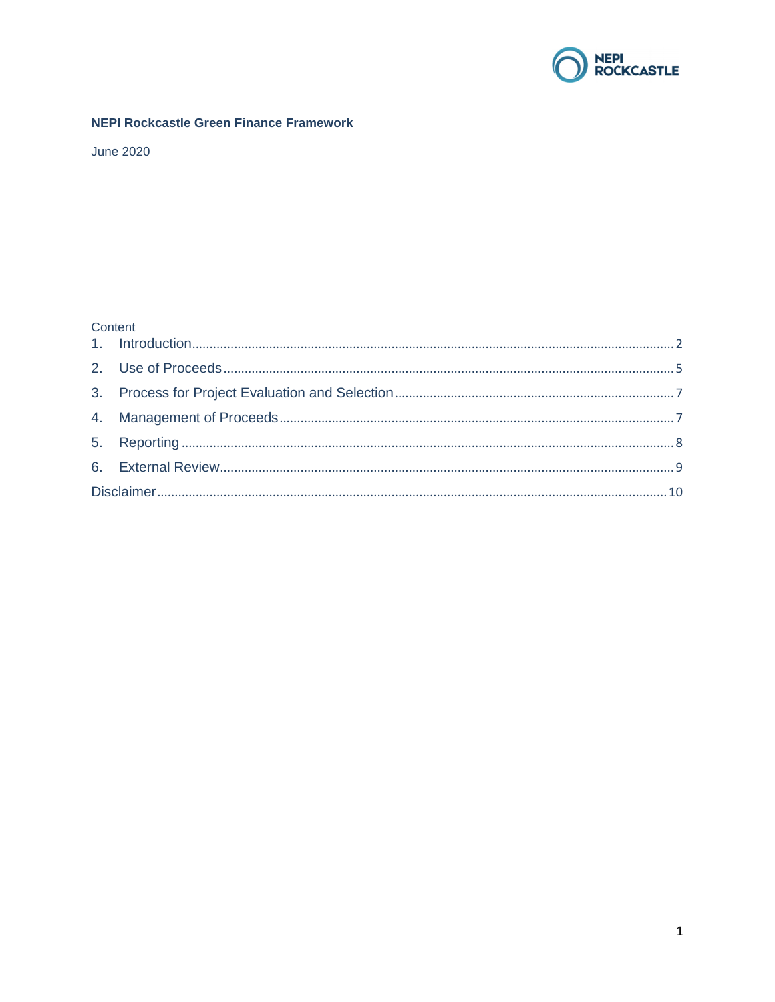

## **NEPI Rockcastle Green Finance Framework**

**June 2020** 

# Content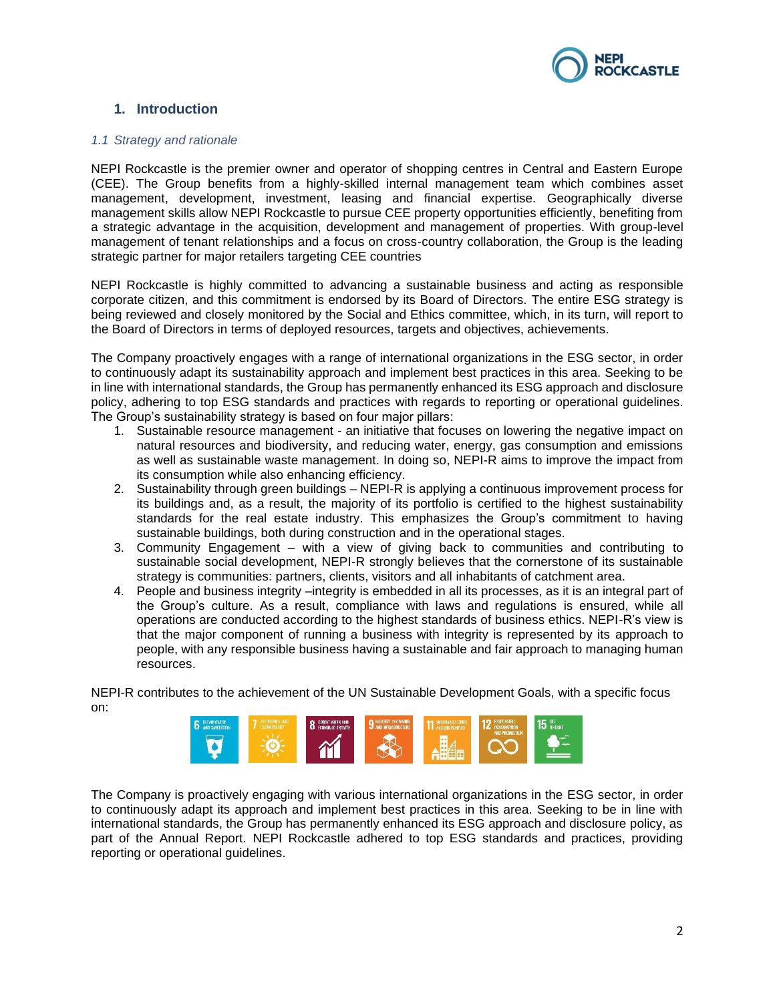

# <span id="page-1-0"></span>**1. Introduction**

#### *1.1 Strategy and rationale*

NEPI Rockcastle is the premier owner and operator of shopping centres in Central and Eastern Europe (CEE). The Group benefits from a highly-skilled internal management team which combines asset management, development, investment, leasing and financial expertise. Geographically diverse management skills allow NEPI Rockcastle to pursue CEE property opportunities efficiently, benefiting from a strategic advantage in the acquisition, development and management of properties. With group-level management of tenant relationships and a focus on cross-country collaboration, the Group is the leading strategic partner for major retailers targeting CEE countries

NEPI Rockcastle is highly committed to advancing a sustainable business and acting as responsible corporate citizen, and this commitment is endorsed by its Board of Directors. The entire ESG strategy is being reviewed and closely monitored by the Social and Ethics committee, which, in its turn, will report to the Board of Directors in terms of deployed resources, targets and objectives, achievements.

The Company proactively engages with a range of international organizations in the ESG sector, in order to continuously adapt its sustainability approach and implement best practices in this area. Seeking to be in line with international standards, the Group has permanently enhanced its ESG approach and disclosure policy, adhering to top ESG standards and practices with regards to reporting or operational guidelines. The Group's sustainability strategy is based on four major pillars:

- 1. Sustainable resource management an initiative that focuses on lowering the negative impact on natural resources and biodiversity, and reducing water, energy, gas consumption and emissions as well as sustainable waste management. In doing so, NEPI-R aims to improve the impact from its consumption while also enhancing efficiency.
- 2. Sustainability through green buildings NEPI-R is applying a continuous improvement process for its buildings and, as a result, the majority of its portfolio is certified to the highest sustainability standards for the real estate industry. This emphasizes the Group's commitment to having sustainable buildings, both during construction and in the operational stages.
- 3. Community Engagement with a view of giving back to communities and contributing to sustainable social development, NEPI-R strongly believes that the cornerstone of its sustainable strategy is communities: partners, clients, visitors and all inhabitants of catchment area.
- 4. People and business integrity –integrity is embedded in all its processes, as it is an integral part of the Group's culture. As a result, compliance with laws and regulations is ensured, while all operations are conducted according to the highest standards of business ethics. NEPI-R's view is that the major component of running a business with integrity is represented by its approach to people, with any responsible business having a sustainable and fair approach to managing human resources.

NEPI-R contributes to the achievement of the UN Sustainable Development Goals, with a specific focus on:



The Company is proactively engaging with various international organizations in the ESG sector, in order to continuously adapt its approach and implement best practices in this area. Seeking to be in line with international standards, the Group has permanently enhanced its ESG approach and disclosure policy, as part of the Annual Report. NEPI Rockcastle adhered to top ESG standards and practices, providing reporting or operational guidelines.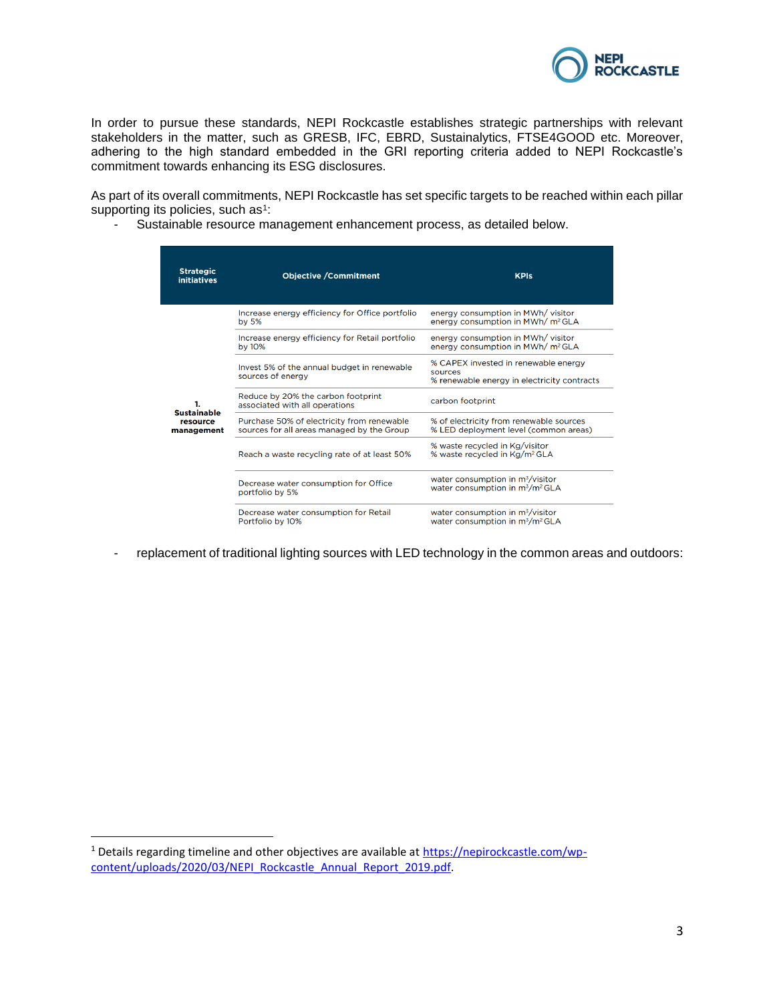

In order to pursue these standards, NEPI Rockcastle establishes strategic partnerships with relevant stakeholders in the matter, such as GRESB, IFC, EBRD, Sustainalytics, FTSE4GOOD etc. Moreover, adhering to the high standard embedded in the GRI reporting criteria added to NEPI Rockcastle's commitment towards enhancing its ESG disclosures.

As part of its overall commitments, NEPI Rockcastle has set specific targets to be reached within each pillar supporting its policies, such as<sup>1</sup>:

- Sustainable resource management enhancement process, as detailed below.

| <b>Strategic</b><br><b>initiatives</b> | <b>Objective / Commitment</b>                                                            | <b>KPIs</b>                                                                                             |
|----------------------------------------|------------------------------------------------------------------------------------------|---------------------------------------------------------------------------------------------------------|
|                                        | Increase energy efficiency for Office portfolio<br>by $5%$                               | energy consumption in MWh/ visitor<br>energy consumption in MWh/ m <sup>2</sup> GLA                     |
|                                        | Increase energy efficiency for Retail portfolio<br>by 10%                                | energy consumption in MWh/ visitor<br>energy consumption in MWh/ m <sup>2</sup> GLA                     |
|                                        | Invest 5% of the annual budget in renewable<br>sources of energy                         | % CAPEX invested in renewable energy<br>sources<br>% renewable energy in electricity contracts          |
| 1.<br><b>Sustainable</b>               | Reduce by 20% the carbon footprint<br>associated with all operations                     | carbon footprint                                                                                        |
| resource<br>management                 | Purchase 50% of electricity from renewable<br>sources for all areas managed by the Group | % of electricity from renewable sources<br>% LED deployment level (common areas)                        |
|                                        | Reach a waste recycling rate of at least 50%                                             | % waste recycled in Kg/visitor<br>% waste recycled in Kg/m <sup>2</sup> GLA                             |
|                                        | Decrease water consumption for Office<br>portfolio by 5%                                 | water consumption in m <sup>3</sup> /visitor<br>water consumption in m <sup>3</sup> /m <sup>2</sup> GLA |
|                                        | Decrease water consumption for Retail<br>Portfolio by 10%                                | water consumption in $m^3$ /visitor<br>water consumption in m <sup>3</sup> /m <sup>2</sup> GLA          |

- replacement of traditional lighting sources with LED technology in the common areas and outdoors:

<sup>&</sup>lt;sup>1</sup> Details regarding timeline and other objectives are available at [https://nepirockcastle.com/wp](https://nepirockcastle.com/wp-content/uploads/2020/03/NEPI_Rockcastle_Annual_Report_2019.pdf)[content/uploads/2020/03/NEPI\\_Rockcastle\\_Annual\\_Report\\_2019.pdf.](https://nepirockcastle.com/wp-content/uploads/2020/03/NEPI_Rockcastle_Annual_Report_2019.pdf)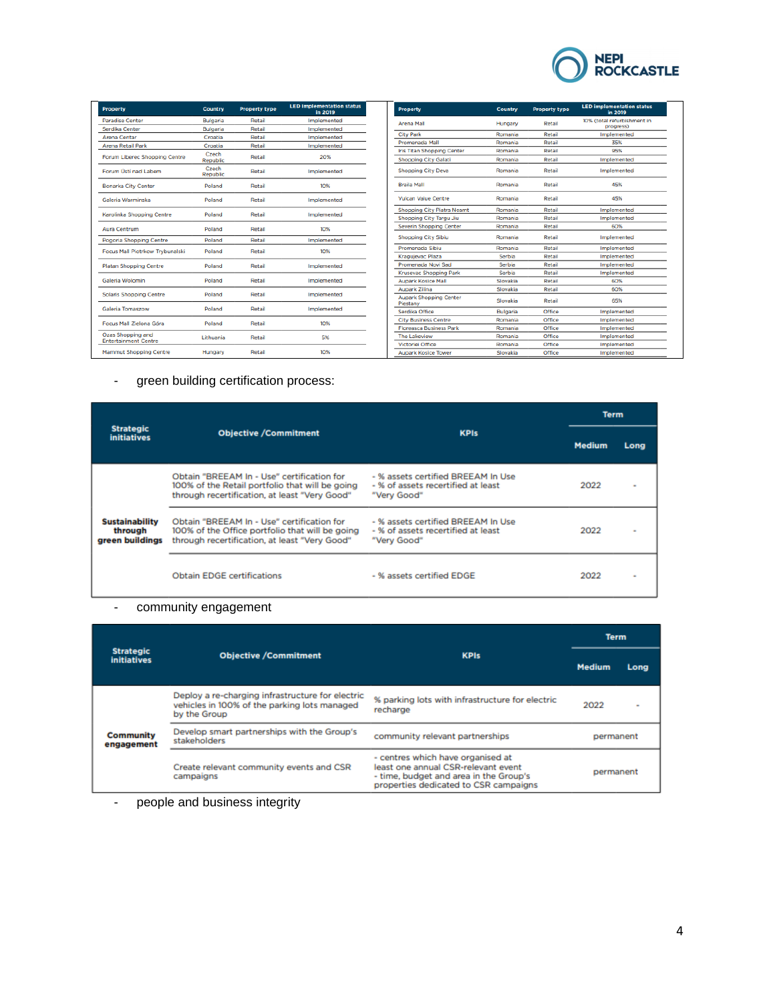

| <b>Property</b>                                  | <b>Country</b>    | <b>Property type</b> | <b>LED implementation status</b><br>in 2019 |
|--------------------------------------------------|-------------------|----------------------|---------------------------------------------|
| <b>Paradise Center</b>                           | <b>Bulgaria</b>   | Retail               | Implemented                                 |
| Serdika Center                                   | <b>Bulgaria</b>   | Retail               | Implemented                                 |
| <b>Arena Centar</b>                              | Croatia           | <b>Retail</b>        | Implemented                                 |
| <b>Arena Retail Park</b>                         | Croatia           | Retail               | Implemented                                 |
| Forum Liberec Shopping Centre                    | Czech<br>Republic | Retail               | 20%                                         |
| Forum Ústí nad Labem                             | Czech<br>Republic | <b>Retail</b>        | Implemented                                 |
| <b>Bonarka City Center</b>                       | Poland            | <b>Retail</b>        | 10%                                         |
| Galeria Warminska                                | Poland            | <b>Retail</b>        | Implemented                                 |
| Karolinka Shopping Centre                        | Poland            | <b>Retail</b>        | Implemented                                 |
| <b>Aura Centrum</b>                              | Poland            | Retail               | 10%                                         |
| Pogoria Shopping Centre                          | Poland            | Retail               | Implemented                                 |
| Focus Mall Piotrkow Trybunalski                  | Poland            | Retail               | 10%                                         |
| <b>Platan Shopping Centre</b>                    | Poland            | <b>Retail</b>        | Implemented                                 |
| Galeria Wolomin                                  | Poland            | Retail               | Implemented                                 |
| <b>Solaris Shopping Centre</b>                   | Poland            | <b>Retail</b>        | Implemented                                 |
| Galeria Tomaszow                                 | Poland            | Retail               | Implemented                                 |
| Focus Mall Zielona Góra                          | Poland            | Retail               | 10%                                         |
| Ozas Shopping and<br><b>Entertainment Centre</b> | Lithuania         | Retail               | 5%                                          |
| <b>Mammut Shopping Centre</b>                    | Hungary           | Retail               | 10%                                         |

| <b>Property</b>                           | Country  | <b>Property type</b> | <b>LED implementation status</b><br>in 2019 |
|-------------------------------------------|----------|----------------------|---------------------------------------------|
| <b>Arena Mall</b>                         | Hungary  | Retail               | 10% (total refurbishment in<br>progress)    |
| <b>City Park</b>                          | Romania  | Retail               | Implemented                                 |
| Promenada Mall                            | Romania  | Retail               | 35%                                         |
| Iris Titan Shopping Center                | Romania  | Retail               | 95%                                         |
| <b>Shopping City Galati</b>               | Romania  | Retail               | Implemented                                 |
| <b>Shopping City Deva</b>                 | Romania  | Retail               | Implemented                                 |
| <b>Braila Mall</b>                        | Romania  | Retail               | 45%                                         |
| <b>Vulcan Value Centre</b>                | Romania  | Retail               | 45%                                         |
| <b>Shopping City Piatra Neamt</b>         | Romania  | Retail               | Implemented                                 |
| Shopping City Targu Jiu                   | Romania  | Retail               | Implemented                                 |
| <b>Severin Shopping Center</b>            | Romania  | Retail               | 60%                                         |
| <b>Shopping City Sibiu</b>                | Romania  | Retail               | Implemented                                 |
| Promenada Sibiu                           | Romania  | Retail               | Implemented                                 |
| Kraguievac Plaza                          | Serbia   | Retail               | Implemented                                 |
| Promenada Novi Sad                        | Serbia   | Retail               | Implemented                                 |
| <b>Krusevac Shopping Park</b>             | Serbia   | Retail               | Implemented                                 |
| <b>Aupark Kosice Mall</b>                 | Slovakia | Retail               | 60%                                         |
| Aupark Zilina                             | Slovakia | Retail               | 60%                                         |
| <b>Aupark Shopping Center</b><br>Piestany | Slovakia | Retail               | 65%                                         |
| Serdika Office                            | Bulgaria | Office               | Implemented                                 |
| <b>City Business Centre</b>               | Romania  | Office               | Implemented                                 |
| <b>Floreasca Business Park</b>            | Romania  | Office               | Implemented                                 |
| <b>The Lakeview</b>                       | Romania  | Office               | Implemented                                 |
| Victoriei Office                          | Romania  | Office               | Implemented                                 |
| <b>Aupark Kosice Tower</b>                | Slovakia | Office               | Implemented                                 |

# - green building certification process:

|                                                     |                                                                                                                                                |                                                                                         | <b>Term</b>   |      |
|-----------------------------------------------------|------------------------------------------------------------------------------------------------------------------------------------------------|-----------------------------------------------------------------------------------------|---------------|------|
| <b>Strategic</b><br><b>initiatives</b>              | <b>Objective /Commitment</b>                                                                                                                   | <b>KPIs</b>                                                                             | <b>Medium</b> | Long |
|                                                     | Obtain "BREEAM In - Use" certification for<br>100% of the Retail portfolio that will be going<br>through recertification, at least "Very Good" | - % assets certified BREEAM In Use<br>- % of assets recertified at least<br>"Very Good" | 2022          | ٠    |
| <b>Sustainability</b><br>through<br>green buildings | Obtain "BREEAM In - Use" certification for<br>100% of the Office portfolio that will be going<br>through recertification, at least "Very Good" | - % assets certified BREEAM In Use<br>- % of assets recertified at least<br>"Very Good" | 2022          |      |
|                                                     | <b>Obtain EDGE certifications</b>                                                                                                              | - % assets certified EDGE                                                               | 2022          |      |

# - community engagement

|                                        |                                                                                                                  |                                                                                                                                                             | <b>Term</b>   |               |
|----------------------------------------|------------------------------------------------------------------------------------------------------------------|-------------------------------------------------------------------------------------------------------------------------------------------------------------|---------------|---------------|
| <b>Strategic</b><br><b>initiatives</b> | <b>Objective /Commitment</b>                                                                                     | <b>KPIs</b>                                                                                                                                                 | <b>Medium</b> | Long          |
|                                        | Deploy a re-charging infrastructure for electric<br>vehicles in 100% of the parking lots managed<br>by the Group | % parking lots with infrastructure for electric<br>recharge                                                                                                 | 2022          | $\frac{1}{2}$ |
| <b>Community</b><br>engagement         | Develop smart partnerships with the Group's<br>stakeholders                                                      | community relevant partnerships                                                                                                                             | permanent     |               |
|                                        | Create relevant community events and CSR<br>campaigns                                                            | - centres which have organised at<br>least one annual CSR-relevant event<br>- time, budget and area in the Group's<br>properties dedicated to CSR campaigns | permanent     |               |

- people and business integrity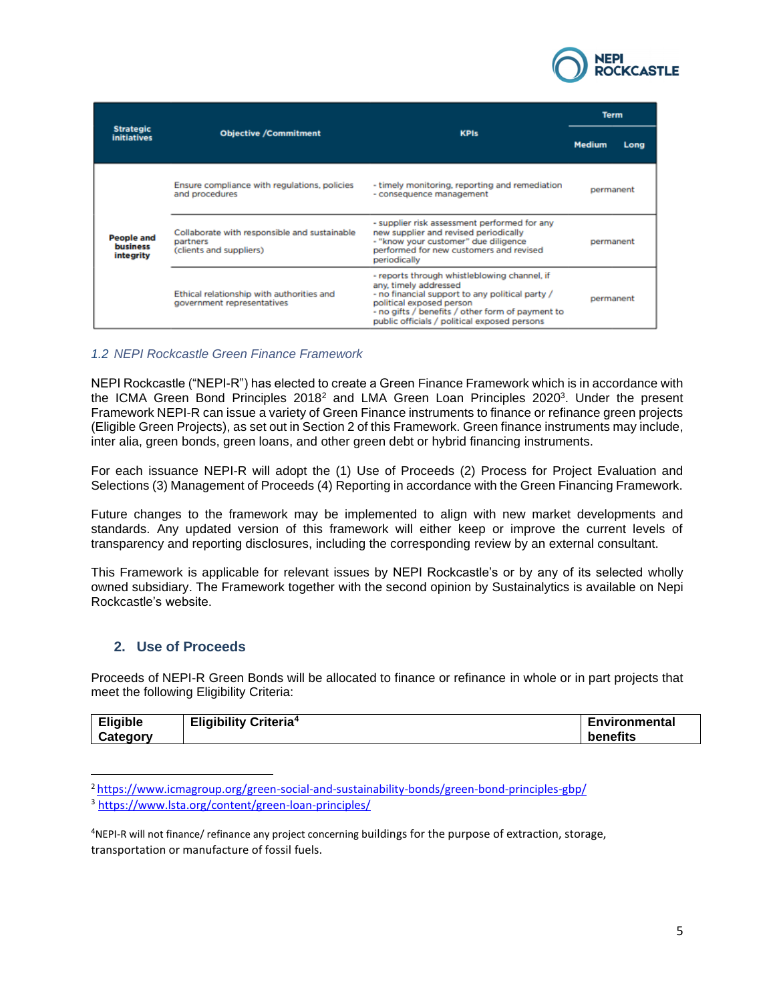

|                                                   |                                                                                     |                                                                                                                                                                                                                                                          | <b>Term</b>           |
|---------------------------------------------------|-------------------------------------------------------------------------------------|----------------------------------------------------------------------------------------------------------------------------------------------------------------------------------------------------------------------------------------------------------|-----------------------|
| <b>Strategic</b><br><b>initiatives</b>            | <b>Objective /Commitment</b>                                                        | <b>KPIs</b>                                                                                                                                                                                                                                              | <b>Medium</b><br>Long |
|                                                   | Ensure compliance with regulations, policies<br>and procedures                      | - timely monitoring, reporting and remediation<br>- consequence management                                                                                                                                                                               | permanent             |
| <b>People and</b><br><b>business</b><br>integrity | Collaborate with responsible and sustainable<br>partners<br>(clients and suppliers) | - supplier risk assessment performed for any<br>new supplier and revised periodically<br>- "know your customer" due diligence<br>performed for new customers and revised<br>periodically                                                                 | permanent             |
|                                                   | Ethical relationship with authorities and<br>government representatives             | - reports through whistleblowing channel, if<br>any, timely addressed<br>- no financial support to any political party /<br>political exposed person<br>- no gifts / benefits / other form of payment to<br>public officials / political exposed persons | permanent             |

### *1.2 NEPI Rockcastle Green Finance Framework*

NEPI Rockcastle ("NEPI-R") has elected to create a Green Finance Framework which is in accordance with the ICMA Green Bond Principles 2018<sup>2</sup> and LMA Green Loan Principles 2020<sup>3</sup>. Under the present Framework NEPI-R can issue a variety of Green Finance instruments to finance or refinance green projects (Eligible Green Projects), as set out in Section 2 of this Framework. Green finance instruments may include, inter alia, green bonds, green loans, and other green debt or hybrid financing instruments.

For each issuance NEPI-R will adopt the (1) Use of Proceeds (2) Process for Project Evaluation and Selections (3) Management of Proceeds (4) Reporting in accordance with the Green Financing Framework.

Future changes to the framework may be implemented to align with new market developments and standards. Any updated version of this framework will either keep or improve the current levels of transparency and reporting disclosures, including the corresponding review by an external consultant.

This Framework is applicable for relevant issues by NEPI Rockcastle's or by any of its selected wholly owned subsidiary. The Framework together with the second opinion by Sustainalytics is available on Nepi Rockcastle's website.

## <span id="page-4-0"></span>**2. Use of Proceeds**

Proceeds of NEPI-R Green Bonds will be allocated to finance or refinance in whole or in part projects that meet the following Eligibility Criteria:

| <b>Eligible</b> | <b>Eligibility Criteria4</b> | <b>⊑nvironmenta</b> ı |
|-----------------|------------------------------|-----------------------|
| Category        |                              | benefits              |

<sup>2</sup> <https://www.icmagroup.org/green-social-and-sustainability-bonds/green-bond-principles-gbp/> <sup>3</sup> <https://www.lsta.org/content/green-loan-principles/>

<sup>4</sup>NEPI-R will not finance/ refinance any project concerning buildings for the purpose of extraction, storage, transportation or manufacture of fossil fuels.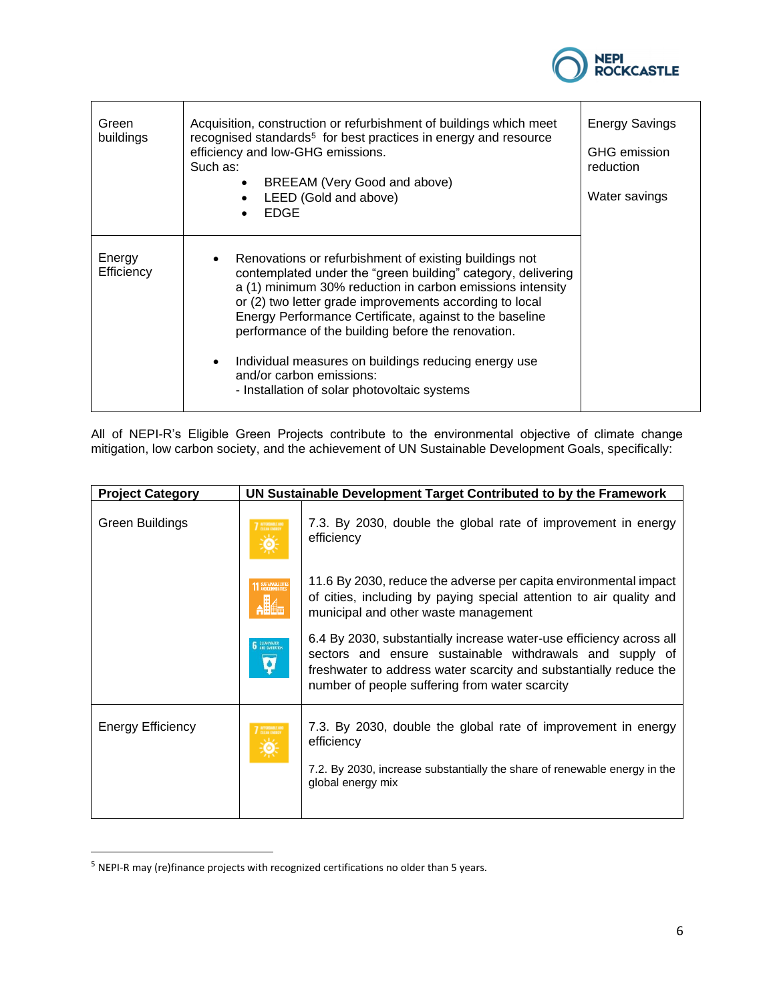

| Green<br>buildings   | Acquisition, construction or refurbishment of buildings which meet<br>recognised standards <sup>5</sup> for best practices in energy and resource<br>efficiency and low-GHG emissions.<br>Such as:<br>BREEAM (Very Good and above)<br>LEED (Gold and above)<br><b>EDGE</b>                                                                                                                                                                                                                                         | <b>Energy Savings</b><br><b>GHG</b> emission<br>reduction<br>Water savings |
|----------------------|--------------------------------------------------------------------------------------------------------------------------------------------------------------------------------------------------------------------------------------------------------------------------------------------------------------------------------------------------------------------------------------------------------------------------------------------------------------------------------------------------------------------|----------------------------------------------------------------------------|
| Energy<br>Efficiency | • Renovations or refurbishment of existing buildings not<br>contemplated under the "green building" category, delivering<br>a (1) minimum 30% reduction in carbon emissions intensity<br>or (2) two letter grade improvements according to local<br>Energy Performance Certificate, against to the baseline<br>performance of the building before the renovation.<br>Individual measures on buildings reducing energy use<br>$\bullet$<br>and/or carbon emissions:<br>- Installation of solar photovoltaic systems |                                                                            |

All of NEPI-R's Eligible Green Projects contribute to the environmental objective of climate change mitigation, low carbon society, and the achievement of UN Sustainable Development Goals, specifically:

| <b>Project Category</b>  |                            | UN Sustainable Development Target Contributed to by the Framework                                                                                                                                                                                      |
|--------------------------|----------------------------|--------------------------------------------------------------------------------------------------------------------------------------------------------------------------------------------------------------------------------------------------------|
| <b>Green Buildings</b>   | AFFORMALE AN               | 7.3. By 2030, double the global rate of improvement in energy<br>efficiency                                                                                                                                                                            |
|                          | <b>11 SUSTAINABLE CITY</b> | 11.6 By 2030, reduce the adverse per capita environmental impact<br>of cities, including by paying special attention to air quality and<br>municipal and other waste management                                                                        |
|                          | <b>6</b> DLEAN WATER<br>Ø  | 6.4 By 2030, substantially increase water-use efficiency across all<br>sectors and ensure sustainable withdrawals and supply of<br>freshwater to address water scarcity and substantially reduce the<br>number of people suffering from water scarcity |
| <b>Energy Efficiency</b> |                            | 7.3. By 2030, double the global rate of improvement in energy<br>efficiency<br>7.2. By 2030, increase substantially the share of renewable energy in the<br>global energy mix                                                                          |

<sup>5</sup> NEPI-R may (re)finance projects with recognized certifications no older than 5 years.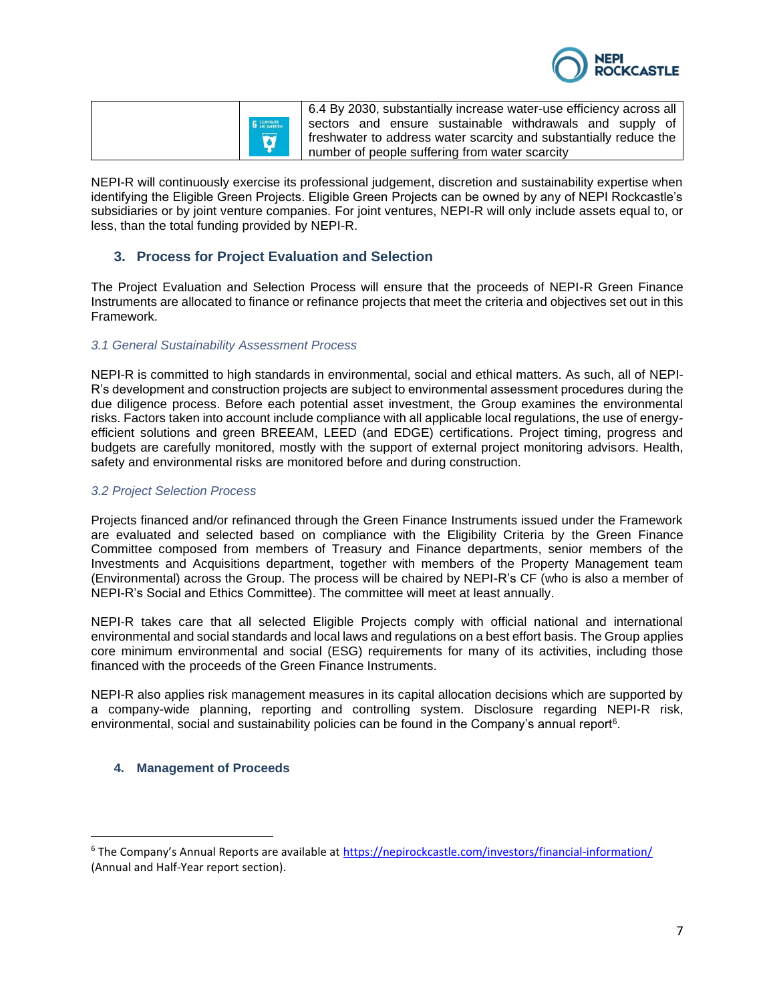

| <b>6</b> GLEAN WATER |  |
|----------------------|--|
|                      |  |
|                      |  |

6.4 By 2030, substantially increase water-use efficiency across all sectors and ensure sustainable withdrawals and supply of freshwater to address water scarcity and substantially reduce the number of people suffering from water scarcity

NEPI-R will continuously exercise its professional judgement, discretion and sustainability expertise when identifying the Eligible Green Projects. Eligible Green Projects can be owned by any of NEPI Rockcastle's subsidiaries or by joint venture companies. For joint ventures, NEPI-R will only include assets equal to, or less, than the total funding provided by NEPI-R.

## <span id="page-6-0"></span>**3. Process for Project Evaluation and Selection**

The Project Evaluation and Selection Process will ensure that the proceeds of NEPI-R Green Finance Instruments are allocated to finance or refinance projects that meet the criteria and objectives set out in this Framework.

### *3.1 General Sustainability Assessment Process*

NEPI-R is committed to high standards in environmental, social and ethical matters. As such, all of NEPI-R's development and construction projects are subject to environmental assessment procedures during the due diligence process. Before each potential asset investment, the Group examines the environmental risks. Factors taken into account include compliance with all applicable local regulations, the use of energyefficient solutions and green BREEAM, LEED (and EDGE) certifications. Project timing, progress and budgets are carefully monitored, mostly with the support of external project monitoring advisors. Health, safety and environmental risks are monitored before and during construction.

### *3.2 Project Selection Process*

Projects financed and/or refinanced through the Green Finance Instruments issued under the Framework are evaluated and selected based on compliance with the Eligibility Criteria by the Green Finance Committee composed from members of Treasury and Finance departments, senior members of the Investments and Acquisitions department, together with members of the Property Management team (Environmental) across the Group. The process will be chaired by NEPI-R's CF (who is also a member of NEPI-R's Social and Ethics Committee). The committee will meet at least annually.

NEPI-R takes care that all selected Eligible Projects comply with official national and international environmental and social standards and local laws and regulations on a best effort basis. The Group applies core minimum environmental and social (ESG) requirements for many of its activities, including those financed with the proceeds of the Green Finance Instruments.

NEPI-R also applies risk management measures in its capital allocation decisions which are supported by a company-wide planning, reporting and controlling system. Disclosure regarding NEPI-R risk, environmental, social and sustainability policies can be found in the Company's annual report $6$ .

### <span id="page-6-1"></span>**4. Management of Proceeds**

<sup>6</sup> The Company's Annual Reports are available at <https://nepirockcastle.com/investors/financial-information/> (Annual and Half-Year report section).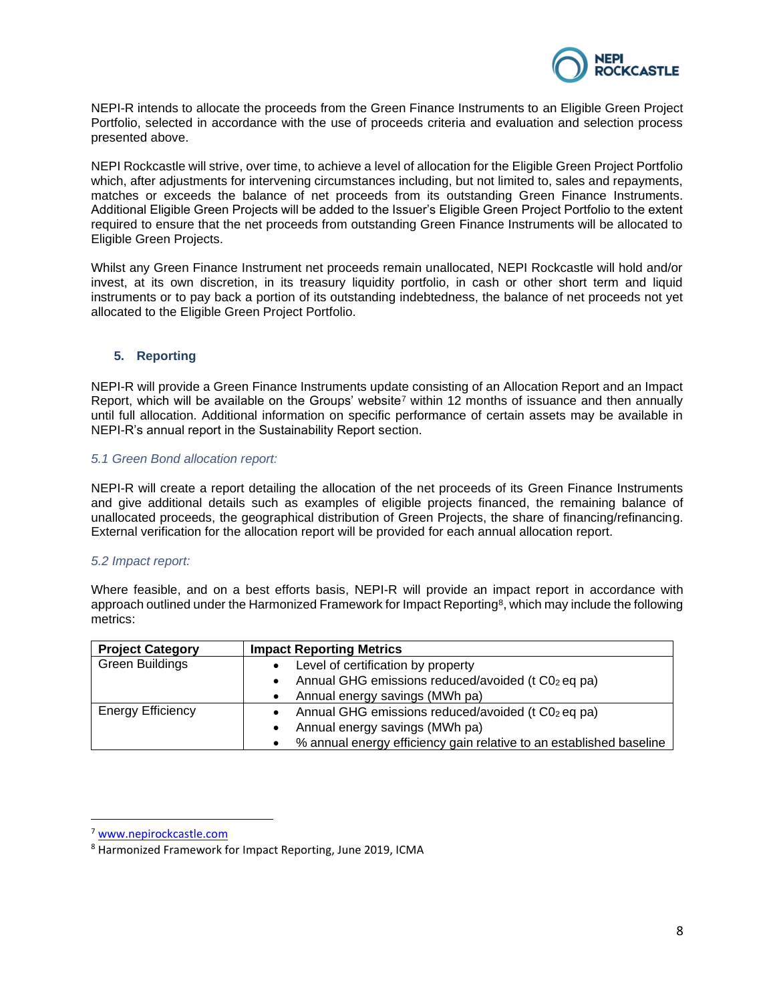

NEPI-R intends to allocate the proceeds from the Green Finance Instruments to an Eligible Green Project Portfolio, selected in accordance with the use of proceeds criteria and evaluation and selection process presented above.

NEPI Rockcastle will strive, over time, to achieve a level of allocation for the Eligible Green Project Portfolio which, after adjustments for intervening circumstances including, but not limited to, sales and repayments, matches or exceeds the balance of net proceeds from its outstanding Green Finance Instruments. Additional Eligible Green Projects will be added to the Issuer's Eligible Green Project Portfolio to the extent required to ensure that the net proceeds from outstanding Green Finance Instruments will be allocated to Eligible Green Projects.

Whilst any Green Finance Instrument net proceeds remain unallocated, NEPI Rockcastle will hold and/or invest, at its own discretion, in its treasury liquidity portfolio, in cash or other short term and liquid instruments or to pay back a portion of its outstanding indebtedness, the balance of net proceeds not yet allocated to the Eligible Green Project Portfolio.

#### <span id="page-7-0"></span>**5. Reporting**

NEPI-R will provide a Green Finance Instruments update consisting of an Allocation Report and an Impact Report, which will be available on the Groups' website<sup>7</sup> within 12 months of issuance and then annually until full allocation. Additional information on specific performance of certain assets may be available in NEPI-R's annual report in the Sustainability Report section.

### *5.1 Green Bond allocation report:*

NEPI-R will create a report detailing the allocation of the net proceeds of its Green Finance Instruments and give additional details such as examples of eligible projects financed, the remaining balance of unallocated proceeds, the geographical distribution of Green Projects, the share of financing/refinancing. External verification for the allocation report will be provided for each annual allocation report.

#### *5.2 Impact report:*

Where feasible, and on a best efforts basis, NEPI-R will provide an impact report in accordance with approach outlined under the Harmonized Framework for Impact Reporting<sup>8</sup>, which may include the following metrics:

| <b>Project Category</b>  | <b>Impact Reporting Metrics</b>                                       |
|--------------------------|-----------------------------------------------------------------------|
| <b>Green Buildings</b>   | Level of certification by property<br>$\bullet$                       |
|                          | • Annual GHG emissions reduced/avoided ( $t C02$ eq pa)               |
|                          | • Annual energy savings (MWh pa)                                      |
| <b>Energy Efficiency</b> | • Annual GHG emissions reduced/avoided ( $t$ C0 $_2$ eq pa)           |
|                          | Annual energy savings (MWh pa)<br>$\bullet$                           |
|                          | • % annual energy efficiency gain relative to an established baseline |

<sup>7</sup> [www.nepirockcastle.com](http://www.nepirockcastle.com/)

<sup>8</sup> Harmonized Framework for Impact Reporting, June 2019, ICMA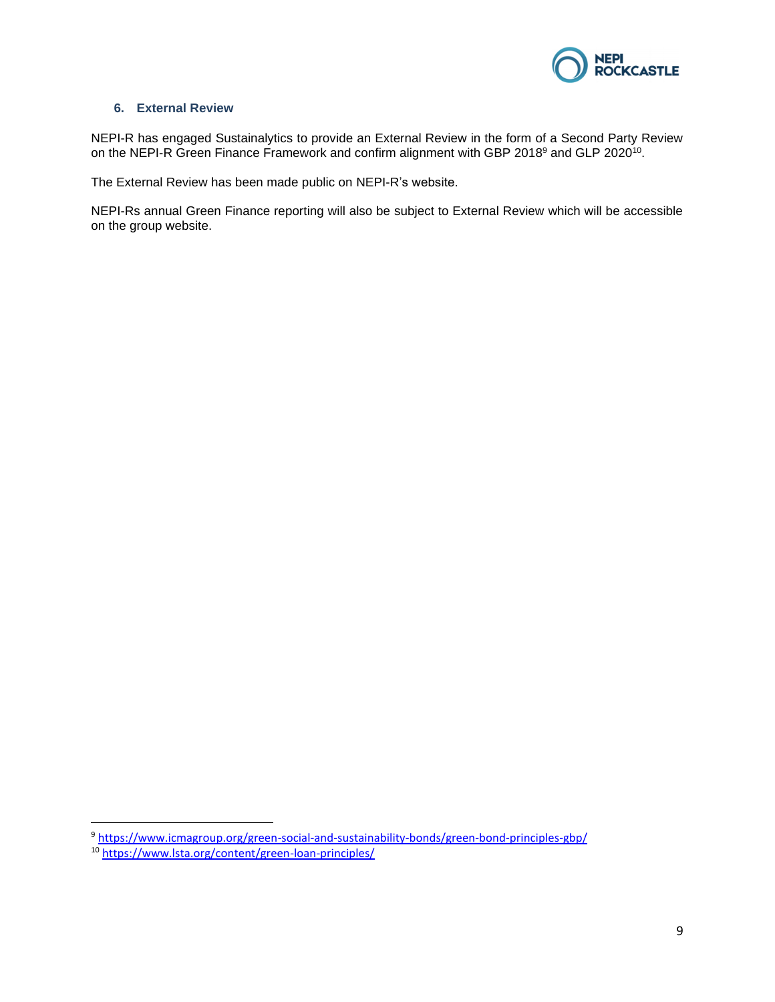

### <span id="page-8-0"></span>**6. External Review**

NEPI-R has engaged Sustainalytics to provide an External Review in the form of a Second Party Review on the NEPI-R Green Finance Framework and confirm alignment with GBP 2018<sup>9</sup> and GLP 2020<sup>10</sup>.

The External Review has been made public on NEPI-R's website.

NEPI-Rs annual Green Finance reporting will also be subject to External Review which will be accessible on the group website.

<sup>9</sup> <https://www.icmagroup.org/green-social-and-sustainability-bonds/green-bond-principles-gbp/> <sup>10</sup> <https://www.lsta.org/content/green-loan-principles/>